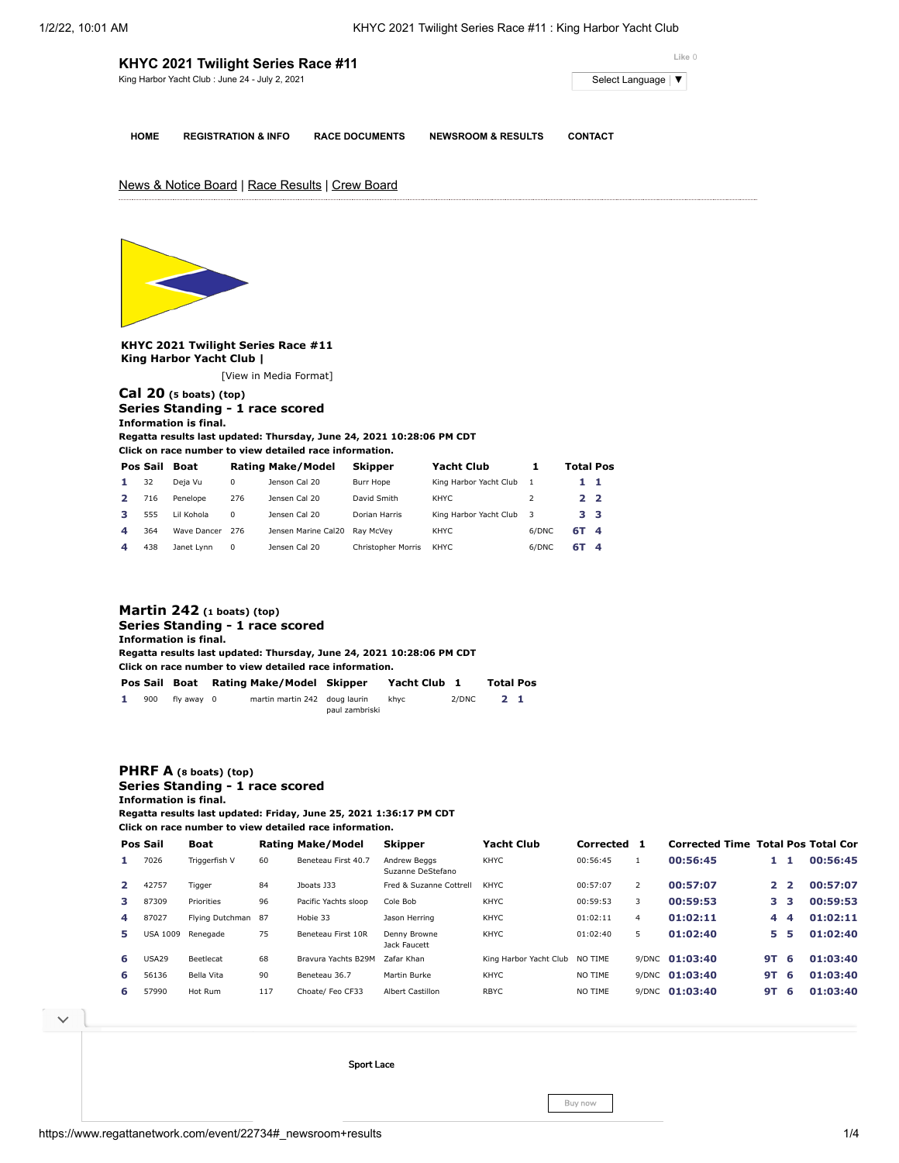|             | KHYC 2021 Twilight Series Race #11<br>King Harbor Yacht Club : June 24 - July 2, 2021 | Like 0<br>Select Language   ▼ |                               |                |
|-------------|---------------------------------------------------------------------------------------|-------------------------------|-------------------------------|----------------|
| <b>HOME</b> | <b>REGISTRATION &amp; INFO</b>                                                        | <b>RACE DOCUMENTS</b>         | <b>NEWSROOM &amp; RESULTS</b> | <b>CONTACT</b> |
|             | News & Notice Board   Race Results   Crew Board                                       |                               |                               |                |
|             |                                                                                       |                               |                               |                |

**KHYC 2021 Twilight Series Race #11 King Harbor Yacht Club |**

[\[View in Media Format](https://www.regattanetwork.com/clubmgmt/applet_regatta_results.php?regatta_id=22734&show_manufacturer=1&show_crew=1&media_format=1)]

# **[Cal 20](https://www.regattanetwork.com/clubmgmt/applet_regatta_results.php?regatta_id=22734&show_manufacturer=1&show_crew=1&limit_fleet=Cal+20) (5 boats) (top) Series Standing - 1 race scored Information is final.**

**Regatta results last updated: Thursday, June 24, 2021 10:28:06 PM CDT**

**Click on race number to view detailed race information.**

|                         | Pos Sail | <b>Boat</b> |          | <b>Rating Make/Model</b> | <b>Skipper</b>     | <b>Yacht Club</b>      |       | <b>Total Pos</b> |  |
|-------------------------|----------|-------------|----------|--------------------------|--------------------|------------------------|-------|------------------|--|
| 1.                      | 32       | Deja Vu     | 0        | Jenson Cal 20            | Burr Hope          | King Harbor Yacht Club |       | 11               |  |
|                         | 716      | Penelope    | 276      | Jensen Cal 20            | David Smith        | KHYC.                  |       | 22               |  |
| з.                      | 555      | Lil Kohola  | $\Omega$ | Jensen Cal 20            | Dorian Harris      | King Harbor Yacht Club | -3    | 33               |  |
| $\overline{\mathbf{A}}$ | 364      | Wave Dancer | 276      | Jensen Marine Cal20      | Rav McVev          | <b>KHYC</b>            | 6/DNC | 6T 4             |  |
|                         | 438      | Janet Lynn  | 0        | Jensen Cal 20            | Christopher Morris | KHYC                   | 6/DNC | 6T 4             |  |

|                                 | Martin $242$ (1 boats) (top)                                          |               |  |                                                         |                |              |       |                  |  |  |  |  |  |
|---------------------------------|-----------------------------------------------------------------------|---------------|--|---------------------------------------------------------|----------------|--------------|-------|------------------|--|--|--|--|--|
| Series Standing - 1 race scored |                                                                       |               |  |                                                         |                |              |       |                  |  |  |  |  |  |
|                                 | Information is final.                                                 |               |  |                                                         |                |              |       |                  |  |  |  |  |  |
|                                 | Regatta results last updated: Thursday, June 24, 2021 10:28:06 PM CDT |               |  |                                                         |                |              |       |                  |  |  |  |  |  |
|                                 |                                                                       |               |  | Click on race number to view detailed race information. |                |              |       |                  |  |  |  |  |  |
|                                 |                                                                       | Pos Sail Boat |  | Rating Make/Model Skipper                               |                | Yacht Club 1 |       | <b>Total Pos</b> |  |  |  |  |  |
|                                 | 900                                                                   | fly away 0    |  | martin martin 242 doug laurin                           | paul zambriski | khyc         | 2/DNC | 2 <sub>1</sub>   |  |  |  |  |  |

# **[PHRF A](https://www.regattanetwork.com/clubmgmt/applet_regatta_results.php?regatta_id=22734&show_manufacturer=1&show_crew=1&limit_fleet=PHRF+A) (8 boats) (top) Series Standing - 1 race scored Information is final.**

**Regatta results last updated: Friday, June 25, 2021 1:36:17 PM CDT**

**Click on race number to view detailed race information.**

|    | Pos Sail        | <b>Boat</b>        |     | Rating Make/Model    | <b>Skipper</b>                    | <b>Yacht Club</b>      | Corrected 1 |                | <b>Corrected Time Total Pos Total Cor</b> |    |                     |          |
|----|-----------------|--------------------|-----|----------------------|-----------------------------------|------------------------|-------------|----------------|-------------------------------------------|----|---------------------|----------|
|    | 7026            | Triggerfish V      | 60  | Beneteau First 40.7  | Andrew Beaas<br>Suzanne DeStefano | <b>KHYC</b>            | 00:56:45    |                | 00:56:45                                  |    |                     | 00:56:45 |
|    | 42757           | Tigger             | 84  | Jboats J33           | Fred & Suzanne Cottrell           | <b>KHYC</b>            | 00:57:07    | $\overline{2}$ | 00:57:07                                  |    | $2^{\circ}$         | 00:57:07 |
|    | 87309           | Priorities         | 96  | Pacific Yachts sloop | Cole Bob                          | <b>KHYC</b>            | 00:59:53    | 3              | 00:59:53                                  |    | 3 <sub>3</sub>      | 00:59:53 |
| 4  | 87027           | Flying Dutchman 87 |     | Hobie 33             | Jason Herring                     | <b>KHYC</b>            | 01:02:11    | 4              | 01:02:11                                  | 4  | $\overline{\bf{4}}$ | 01:02:11 |
| 5. | <b>USA 1009</b> | Renegade           | 75  | Beneteau First 10R   | Denny Browne<br>Jack Faucett      | <b>KHYC</b>            | 01:02:40    | 5              | 01:02:40                                  | 5. | 5                   | 01:02:40 |
| 6  | USA29           | <b>Beetlecat</b>   | 68  | Brayura Yachts B29M  | Zafar Khan                        | King Harbor Yacht Club | NO TIME     |                | 9/DNC 01:03:40                            | 9Τ | 6                   | 01:03:40 |
| 6. | 56136           | Bella Vita         | 90  | Beneteau 36.7        | Martin Burke                      | <b>KHYC</b>            | NO TIME     |                | 9/DNC 01:03:40                            | 9Τ | 6                   | 01:03:40 |
| 6  | 57990           | Hot Rum            | 117 | Choate/ Feo CF33     | <b>Albert Castillon</b>           | <b>RBYC</b>            | NO TIME     |                | 9/DNC 01:03:40                            | 9Τ | 6                   | 01:03:40 |

 $\vee$ 

Sport Lace

Buy now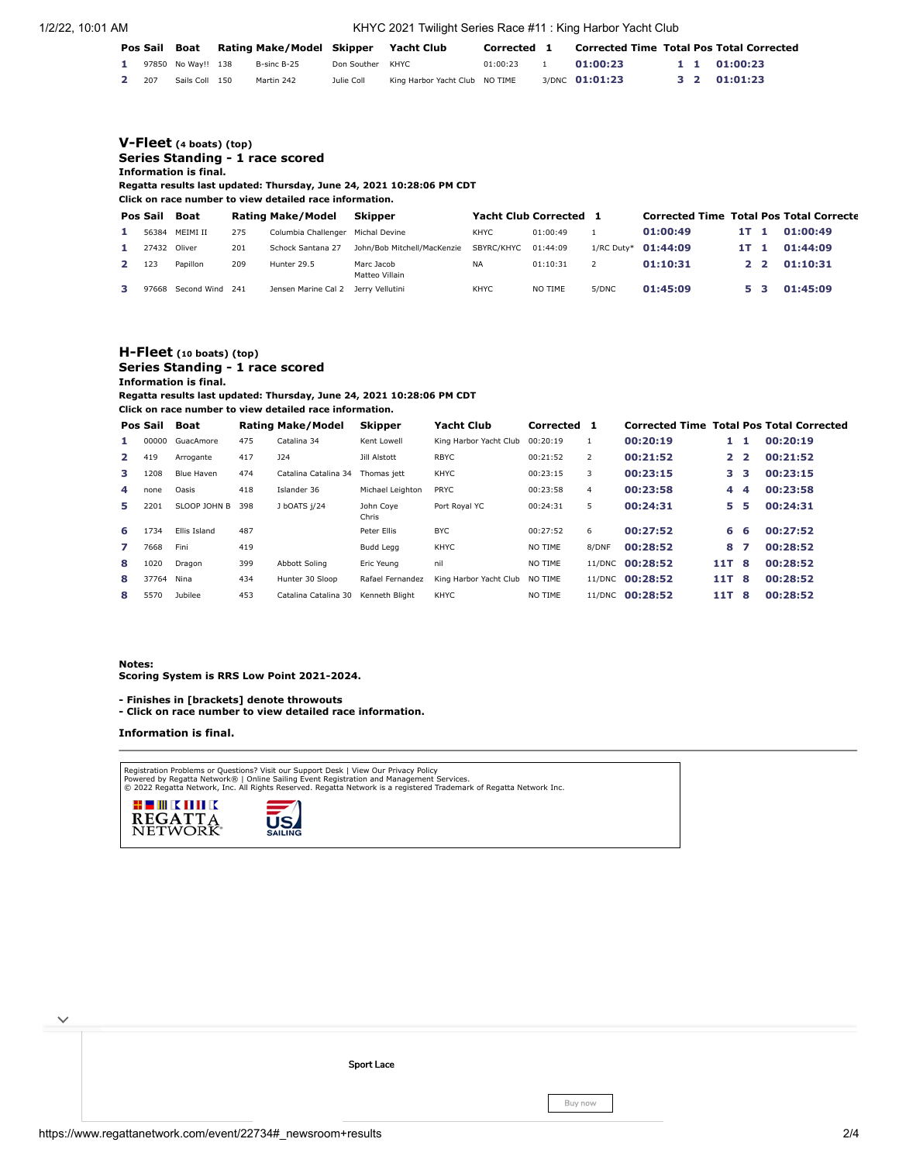1/2/22, 10:01 AM KHYC 2021 Twilight Series Race #11 : King Harbor Yacht Club

| Pos Sail Boat |                    |  |             | Rating Make/Model Skipper Yacht Club |                                | Corrected 1 |                | <b>Corrected Time Total Pos Total Corrected</b> |  |              |
|---------------|--------------------|--|-------------|--------------------------------------|--------------------------------|-------------|----------------|-------------------------------------------------|--|--------------|
|               | 97850 No Wav!! 138 |  | B-sinc B-25 | Don Souther KHYC                     |                                | 01:00:23    | 01:00:23       |                                                 |  | 1 1 01:00:23 |
| 2 207         | Sails Coll 150     |  | Martin 242  | Julie Coll                           | King Harbor Yacht Club NO TIME |             | 3/DNC 01:01:23 |                                                 |  | 3 2 01:01:23 |

### **[V-Fleet](https://www.regattanetwork.com/clubmgmt/applet_regatta_results.php?regatta_id=22734&show_manufacturer=1&show_crew=1&limit_fleet=V-Fleet) (4 boats) (top) Series Standing - 1 race scored Information is final.**

**Regatta results last updated: Thursday, June 24, 2021 10:28:06 PM CDT**

**Click on race number to view detailed race information.**

| Pos Sail | Boat            |     | Rating Make/Model                   | Skipper                      | <b>Yacht Club Corrected</b> |          | - 1   | <b>Corrected Time Total Pos Total Correcte</b> |      |                |          |
|----------|-----------------|-----|-------------------------------------|------------------------------|-----------------------------|----------|-------|------------------------------------------------|------|----------------|----------|
| 56384    | MFIMI II        | 275 | Columbia Challenger                 | Michal Devine                | <b>KHYC</b>                 | 01:00:49 |       | 01:00:49                                       | 1T 1 |                | 01:00:49 |
| 27432    | Oliver          | 201 | Schock Santana 27                   | John/Bob Mitchell/MacKenzie  | SBYRC/KHYC                  | 01:44:09 |       | 1/RC Duty* 01:44:09                            | 1T 1 |                | 01:44:09 |
| 123      | Papillon        | 209 | Hunter 29.5                         | Marc Jacob<br>Matteo Villain | <b>NA</b>                   | 01:10:31 |       | 01:10:31                                       |      | 2 <sub>2</sub> | 01:10:31 |
| 97668    | Second Wind 241 |     | Jensen Marine Cal 2 Jerry Vellutini |                              | <b>KHYC</b>                 | NO TIME  | 5/DNC | 01:45:09                                       |      |                | 01:45:09 |

# **[H-Fleet](https://www.regattanetwork.com/clubmgmt/applet_regatta_results.php?regatta_id=22734&show_manufacturer=1&show_crew=1&limit_fleet=H-Fleet) (10 boats) (top) Series Standing - 1 race scored Information is final.**

**Regatta results last updated: Thursday, June 24, 2021 10:28:06 PM CDT**

**Click on race number to view detailed race information.**

|              | Pos Sail   | Boat         |     | Rating Make/Model    | <b>Skipper</b>     | <b>Yacht Club</b>      | Corrected | 1              | <b>Corrected Time Total Pos Total Corrected</b> |                |     |          |
|--------------|------------|--------------|-----|----------------------|--------------------|------------------------|-----------|----------------|-------------------------------------------------|----------------|-----|----------|
| 1            | 00000      | GuacAmore    | 475 | Catalina 34          | Kent Lowell        | King Harbor Yacht Club | 00:20:19  |                | 00:20:19                                        |                | -1. | 00:20:19 |
| $\mathbf{2}$ | 419        | Arrogante    | 417 | <b>J24</b>           | Jill Alstott       | <b>RBYC</b>            | 00:21:52  | $\overline{2}$ | 00:21:52                                        | 2 <sub>2</sub> |     | 00:21:52 |
| з            | 1208       | Blue Haven   | 474 | Catalina Catalina 34 | Thomas iett        | <b>KHYC</b>            | 00:23:15  | 3              | 00:23:15                                        | з.             | з   | 00:23:15 |
| 4            | none       | Oasis        | 418 | Islander 36          | Michael Leighton   | PRYC                   | 00:23:58  | 4              | 00:23:58                                        | 4              | 4   | 00:23:58 |
| 5.           | 2201       | SLOOP JOHN B | 398 | J bOATS 1/24         | John Cove<br>Chris | Port Roval YC          | 00:24:31  | 5.             | 00:24:31                                        | 5.             | 5   | 00:24:31 |
| 6            | 1734       | Ellis Island | 487 |                      | Peter Ellis        | <b>BYC</b>             | 00:27:52  | 6              | 00:27:52                                        | 6.             | - 6 | 00:27:52 |
| 7            | 7668       | Fini         | 419 |                      | Budd Legg          | <b>KHYC</b>            | NO TIME   | 8/DNF          | 00:28:52                                        | 8              | 7   | 00:28:52 |
| 8            | 1020       | Dragon       | 399 | Abbott Soling        | Eric Yeung         | nil                    | NO TIME   |                | 11/DNC 00:28:52                                 | 11T            | -8  | 00:28:52 |
| 8            | 37764 Nina |              | 434 | Hunter 30 Sloop      | Rafael Fernandez   | King Harbor Yacht Club | NO TIME   |                | 11/DNC 00:28:52                                 | 11T            | -8  | 00:28:52 |
| 8            | 5570       | Jubilee      | 453 | Catalina Catalina 30 | Kenneth Bliaht     | KHYC                   | NO TIME   |                | 11/DNC 00:28:52                                 | 11T            | -8  | 00:28:52 |

#### **Notes:**

**Scoring System is RRS Low Point 2021-2024.**

**- Finishes in [brackets] denote throwouts** 

**- Click on race number to view detailed race information.**

# **Information is final.**

Registration Problems or Questions? [Visit our Support Desk](http://support.regattanetwork.com/) | [View Our Privacy Policy](https://www.regattanetwork.com/html/privacy.html)<br>[Powered by Regatta Network®](http://www.regattanetwork.com/) | Online Sailing Event Registration and Management Services.<br>© 2022 [Regatta Network,](http://www.regattanetwork.com/) Inc. All Rights Reserved





 $\checkmark$ 

[Sport](https://cat.da.us.criteo.com/m/delivery/ck.php?cppv=3&cpp=f-OIkCKtRr_WsxhOTPBX_NxaKjf4GrfqhhIGsOUerGfACTmSwCtm4ypUN-6ysu0E6d7COBSqsKDXKcUFbh-42On4zZ7Gs_h3LEyOi-mBTWRAZ-dZTTaavAYDEkvsLro1GN-zRoxA3rUq4d4gFmQpyf1FEse7qobz5zypizGY6v6khnZ4lQwW36ybJ99W9bY_R3VnLl-WWVvJnHl_TZU35LolB1is_rvIeQGekyW3cL4e74HZaSu-5cfBw7W3GEyM8R998hvLzNOLVwC85Er3EaWNC40brO3bu82XHt2GvbwaVaVDCgzF4VDTO442VSyf5QIZJlBbFqdJD6XmHBFFfVbUM4kMgivd6Q7Ln9SrTA_Ad6lPrBTa2f1zdCEmzveqFV_ay2rmvP592w3ICTJnPoJzvICTdM0nPMTY_XI1LG8INzT1Wn3fbTjuuzKxRlqyCJX3f3ah1W4nyxVvWUkqflykuguBMP615HZwXcw1A6luRi3x&maxdest=https%3A%2F%2Fmagnanni.com%2Fsport-lace%3Futm_source%3Dcriteo%26utm_medium%3Ddisplay%26utm_campaign%3DWeb%2520Traffic%2520-%2520Oct%252021%252C%25202021%2520) Lace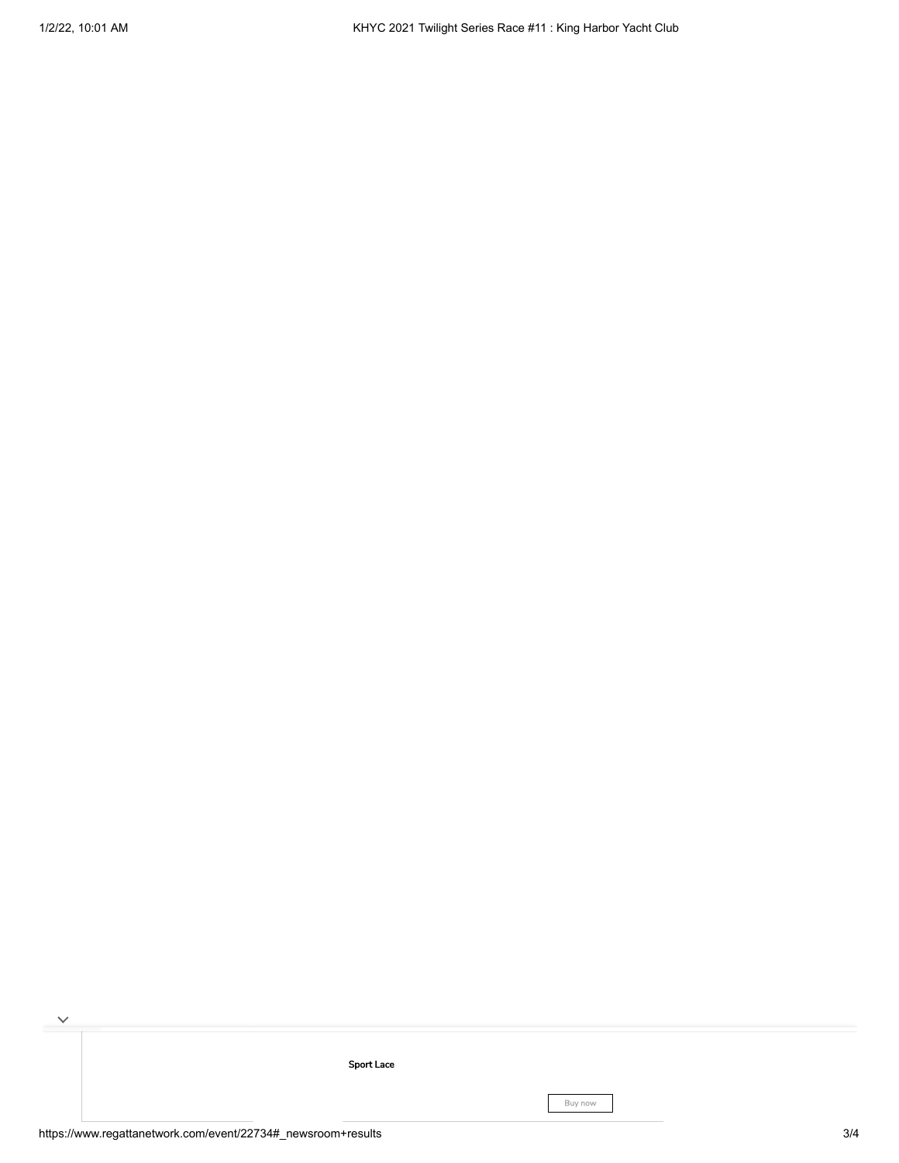[Sport](https://cat.da.us.criteo.com/m/delivery/ck.php?cppv=3&cpp=f-OIkCKtRr_WsxhOTPBX_NxaKjf4GrfqhhIGsOUerGfACTmSwCtm4ypUN-6ysu0E6d7COBSqsKDXKcUFbh-42On4zZ7Gs_h3LEyOi-mBTWRAZ-dZTTaavAYDEkvsLro1GN-zRoxA3rUq4d4gFmQpyf1FEse7qobz5zypizGY6v6khnZ4lQwW36ybJ99W9bY_R3VnLl-WWVvJnHl_TZU35LolB1is_rvIeQGekyW3cL4e74HZaSu-5cfBw7W3GEyM8R998hvLzNOLVwC85Er3EaWNC40brO3bu82XHt2GvbwaVaVDCgzF4VDTO442VSyf5QIZJlBbFqdJD6XmHBFFfVbUM4kMgivd6Q7Ln9SrTA_Ad6lPrBTa2f1zdCEmzveqFV_ay2rmvP592w3ICTJnPoJzvICTdM0nPMTY_XI1LG8INzT1Wn3fbTjuuzKxRlqyCJX3f3ah1W4nyxVvWUkqflykuguBMP615HZwXcw1A6luRi3x&maxdest=https%3A%2F%2Fmagnanni.com%2Fsport-lace%3Futm_source%3Dcriteo%26utm_medium%3Ddisplay%26utm_campaign%3DWeb%2520Traffic%2520-%2520Oct%252021%252C%25202021%2520) Lace

Buy now

 $\overline{\phantom{a}}$ 

 $\checkmark$